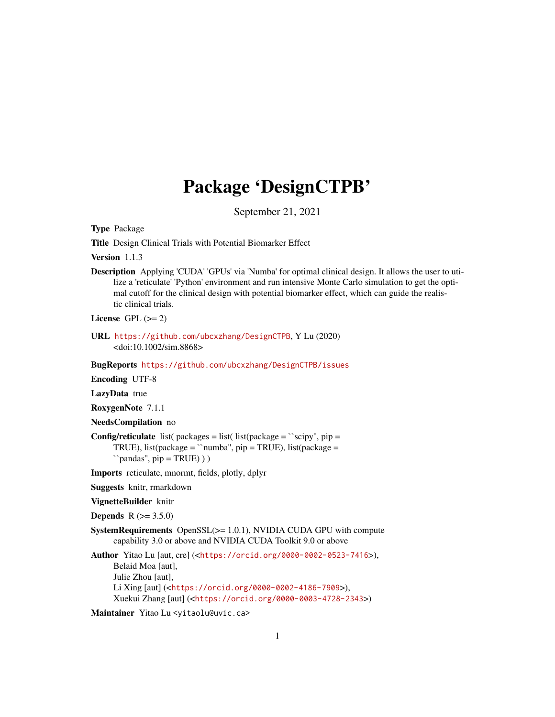# Package 'DesignCTPB'

September 21, 2021

Type Package

Title Design Clinical Trials with Potential Biomarker Effect

Version 1.1.3

Description Applying 'CUDA' 'GPUs' via 'Numba' for optimal clinical design. It allows the user to utilize a 'reticulate' 'Python' environment and run intensive Monte Carlo simulation to get the optimal cutoff for the clinical design with potential biomarker effect, which can guide the realistic clinical trials.

License GPL  $(>= 2)$ 

URL <https://github.com/ubcxzhang/DesignCTPB>, Y Lu (2020) <doi:10.1002/sim.8868>

BugReports <https://github.com/ubcxzhang/DesignCTPB/issues>

Encoding UTF-8

LazyData true

RoxygenNote 7.1.1

NeedsCompilation no

**Config/reticulate** list( packages = list( list(package =  $\degree$ scipy", pip = TRUE), list(package = ``numba'', pip = TRUE), list(package =  $\rightarrow$ pandas", pip = TRUE) ) )

Imports reticulate, mnormt, fields, plotly, dplyr

Suggests knitr, rmarkdown

VignetteBuilder knitr

**Depends**  $R (= 3.5.0)$ 

SystemRequirements OpenSSL(>= 1.0.1), NVIDIA CUDA GPU with compute capability 3.0 or above and NVIDIA CUDA Toolkit 9.0 or above

Author Yitao Lu [aut, cre] (<<https://orcid.org/0000-0002-0523-7416>>), Belaid Moa [aut], Julie Zhou [aut], Li Xing [aut] (<<https://orcid.org/0000-0002-4186-7909>>), Xuekui Zhang [aut] (<<https://orcid.org/0000-0003-4728-2343>>)

Maintainer Yitao Lu <yitaolu@uvic.ca>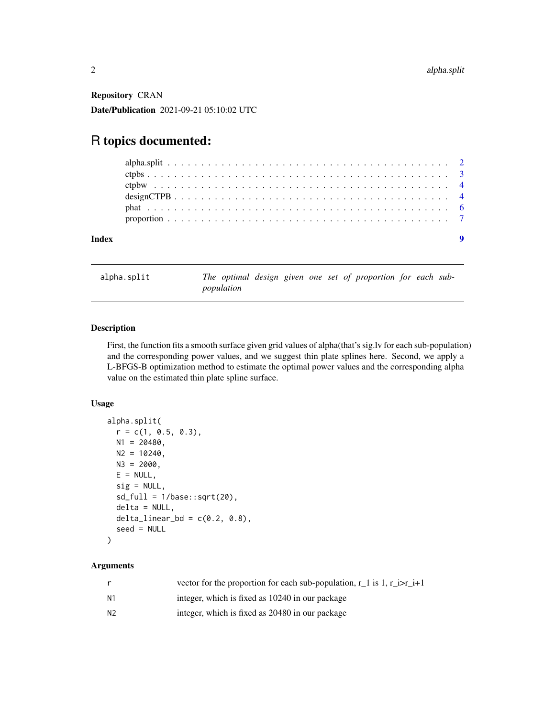<span id="page-1-0"></span>Repository CRAN Date/Publication 2021-09-21 05:10:02 UTC

## R topics documented:

| Index |  |  |  |  |  |  |  |  |  |  |  |  |  |  |  |  |  |  |  |  |  |
|-------|--|--|--|--|--|--|--|--|--|--|--|--|--|--|--|--|--|--|--|--|--|
|       |  |  |  |  |  |  |  |  |  |  |  |  |  |  |  |  |  |  |  |  |  |
|       |  |  |  |  |  |  |  |  |  |  |  |  |  |  |  |  |  |  |  |  |  |
|       |  |  |  |  |  |  |  |  |  |  |  |  |  |  |  |  |  |  |  |  |  |
|       |  |  |  |  |  |  |  |  |  |  |  |  |  |  |  |  |  |  |  |  |  |
|       |  |  |  |  |  |  |  |  |  |  |  |  |  |  |  |  |  |  |  |  |  |
|       |  |  |  |  |  |  |  |  |  |  |  |  |  |  |  |  |  |  |  |  |  |

alpha.split *The optimal design given one set of proportion for each subpopulation*

#### Description

First, the function fits a smooth surface given grid values of alpha(that's sig.lv for each sub-population) and the corresponding power values, and we suggest thin plate splines here. Second, we apply a L-BFGS-B optimization method to estimate the optimal power values and the corresponding alpha value on the estimated thin plate spline surface.

#### Usage

```
alpha.split(
 r = c(1, 0.5, 0.3),
 N1 = 20480,N2 = 10240,N3 = 2000,E = NULL,sig = NULL,sd_full = 1/base::sqrt(20),delta = NULL,
 delta_linear_bd = c(0.2, 0.8),
  seed = NULL
)
```
#### Arguments

|                | vector for the proportion for each sub-population, $r_1$ is 1, $r_i$ is $r_i + 1$ |
|----------------|-----------------------------------------------------------------------------------|
| N1             | integer, which is fixed as 10240 in our package                                   |
| N <sub>2</sub> | integer, which is fixed as 20480 in our package                                   |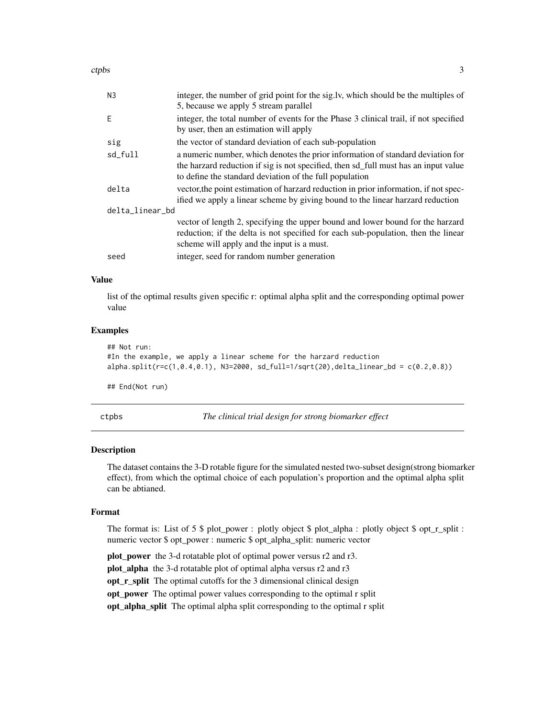<span id="page-2-0"></span>ctpbs 3

| N <sub>3</sub>  | integer, the number of grid point for the sig.lv, which should be the multiples of<br>5, because we apply 5 stream parallel                                                                                                       |
|-----------------|-----------------------------------------------------------------------------------------------------------------------------------------------------------------------------------------------------------------------------------|
| E               | integer, the total number of events for the Phase 3 clinical trail, if not specified<br>by user, then an estimation will apply                                                                                                    |
| sig             | the vector of standard deviation of each sub-population                                                                                                                                                                           |
| sd_full         | a numeric number, which denotes the prior information of standard deviation for<br>the harzard reduction if sig is not specified, then sd_full must has an input value<br>to define the standard deviation of the full population |
| delta           | vector, the point estimation of harzard reduction in prior information, if not spec-<br>ified we apply a linear scheme by giving bound to the linear harzard reduction                                                            |
| delta_linear_bd |                                                                                                                                                                                                                                   |
|                 | vector of length 2, specifying the upper bound and lower bound for the harzard<br>reduction; if the delta is not specified for each sub-population, then the linear<br>scheme will apply and the input is a must.                 |
| seed            | integer, seed for random number generation                                                                                                                                                                                        |

#### Value

list of the optimal results given specific r: optimal alpha split and the corresponding optimal power value

#### Examples

```
## Not run:
#In the example, we apply a linear scheme for the harzard reduction
alpha.split(r=c(1,0.4,0.1), N3=2000, sd-full=1/sqrt(20),delta\_linear_bd = c(0.2,0.8))
```
## End(Not run)

ctpbs *The clinical trial design for strong biomarker effect*

#### Description

The dataset contains the 3-D rotable figure for the simulated nested two-subset design(strong biomarker effect), from which the optimal choice of each population's proportion and the optimal alpha split can be abtianed.

#### Format

The format is: List of 5  $\frac{1}{2}$  plot\_power : plotly object  $\frac{1}{2}$  plot\_alpha : plotly object  $\frac{1}{2}$  opt\_r\_split : numeric vector \$ opt\_power : numeric \$ opt\_alpha\_split: numeric vector

plot\_power the 3-d rotatable plot of optimal power versus r2 and r3.

plot\_alpha the 3-d rotatable plot of optimal alpha versus r2 and r3

opt\_r\_split The optimal cutoffs for the 3 dimensional clinical design

opt\_power The optimal power values corresponding to the optimal r split

opt\_alpha\_split The optimal alpha split corresponding to the optimal r split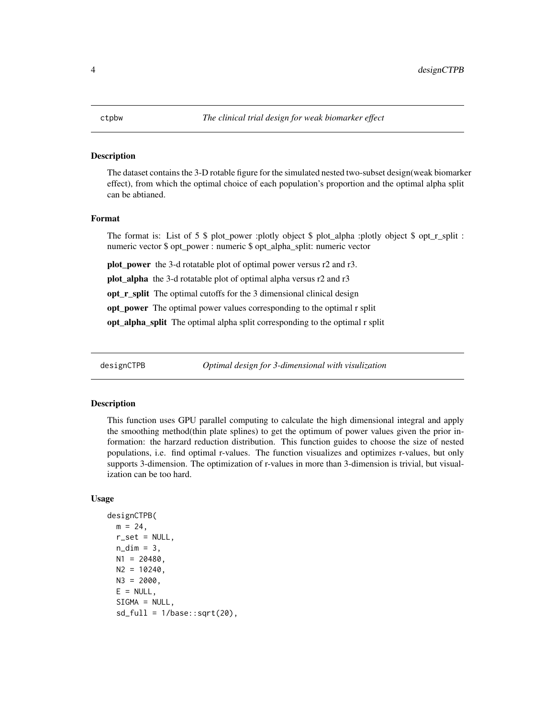#### <span id="page-3-0"></span>Description

The dataset contains the 3-D rotable figure for the simulated nested two-subset design(weak biomarker effect), from which the optimal choice of each population's proportion and the optimal alpha split can be abtianed.

#### Format

The format is: List of 5 \$ plot power :plotly object \$ plot alpha :plotly object \$ opt  $r$  split : numeric vector \$ opt\_power : numeric \$ opt\_alpha\_split: numeric vector

plot\_power the 3-d rotatable plot of optimal power versus r2 and r3.

plot\_alpha the 3-d rotatable plot of optimal alpha versus r2 and r3

opt\_r\_split The optimal cutoffs for the 3 dimensional clinical design

opt\_power The optimal power values corresponding to the optimal r split

opt\_alpha\_split The optimal alpha split corresponding to the optimal r split

designCTPB *Optimal design for 3-dimensional with visulization*

#### Description

This function uses GPU parallel computing to calculate the high dimensional integral and apply the smoothing method(thin plate splines) to get the optimum of power values given the prior information: the harzard reduction distribution. This function guides to choose the size of nested populations, i.e. find optimal r-values. The function visualizes and optimizes r-values, but only supports 3-dimension. The optimization of r-values in more than 3-dimension is trivial, but visualization can be too hard.

#### Usage

```
designCTPB(
 m = 24,
  r_set = NULL,
  n\_dim = 3,
 N1 = 20480,
 N2 = 10240,
 N3 = 2000,
 E = NULL,SIGMA = NULL,
  sd_full = 1/base::sqrt(20),
```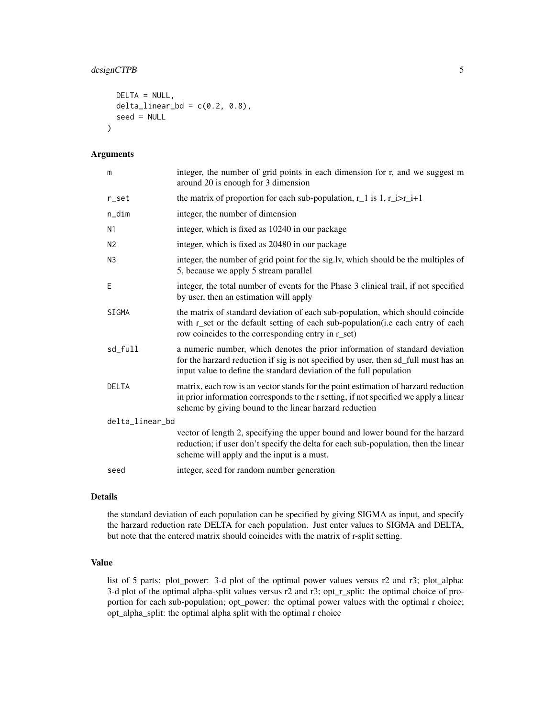#### designCTPB 5

```
DELTA = NULL,
  delta_linear_bd = c(0.2, 0.8),
  seed = NULL
\mathcal{L}
```
#### Arguments

| m               | integer, the number of grid points in each dimension for r, and we suggest m<br>around 20 is enough for 3 dimension                                                                                                                       |
|-----------------|-------------------------------------------------------------------------------------------------------------------------------------------------------------------------------------------------------------------------------------------|
| r_set           | the matrix of proportion for each sub-population, $r_1$ is 1, $r_i$ i> $r_i$ +1                                                                                                                                                           |
| $n\_dim$        | integer, the number of dimension                                                                                                                                                                                                          |
| N <sub>1</sub>  | integer, which is fixed as 10240 in our package                                                                                                                                                                                           |
| N <sub>2</sub>  | integer, which is fixed as 20480 in our package                                                                                                                                                                                           |
| N <sub>3</sub>  | integer, the number of grid point for the sig.lv, which should be the multiples of<br>5, because we apply 5 stream parallel                                                                                                               |
| Ε               | integer, the total number of events for the Phase 3 clinical trail, if not specified<br>by user, then an estimation will apply                                                                                                            |
| SIGMA           | the matrix of standard deviation of each sub-population, which should coincide<br>with r_set or the default setting of each sub-population(i.e each entry of each<br>row coincides to the corresponding entry in r_set)                   |
| sd_full         | a numeric number, which denotes the prior information of standard deviation<br>for the harzard reduction if sig is not specified by user, then sd_full must has an<br>input value to define the standard deviation of the full population |
| <b>DELTA</b>    | matrix, each row is an vector stands for the point estimation of harzard reduction<br>in prior information corresponds to the r setting, if not specified we apply a linear<br>scheme by giving bound to the linear harzard reduction     |
| delta_linear_bd |                                                                                                                                                                                                                                           |
|                 | vector of length 2, specifying the upper bound and lower bound for the harzard<br>reduction; if user don't specify the delta for each sub-population, then the linear<br>scheme will apply and the input is a must.                       |
| seed            | integer, seed for random number generation                                                                                                                                                                                                |

#### Details

the standard deviation of each population can be specified by giving SIGMA as input, and specify the harzard reduction rate DELTA for each population. Just enter values to SIGMA and DELTA, but note that the entered matrix should coincides with the matrix of r-split setting.

#### Value

list of 5 parts: plot\_power: 3-d plot of the optimal power values versus r2 and r3; plot\_alpha: 3-d plot of the optimal alpha-split values versus r2 and r3; opt\_r\_split: the optimal choice of proportion for each sub-population; opt\_power: the optimal power values with the optimal r choice; opt\_alpha\_split: the optimal alpha split with the optimal r choice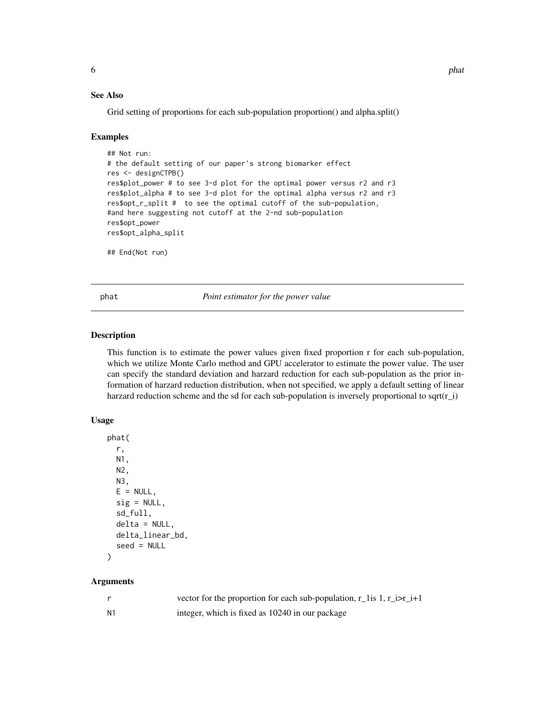#### <span id="page-5-0"></span>See Also

Grid setting of proportions for each sub-population proportion() and alpha.split()

#### Examples

```
## Not run:
# the default setting of our paper's strong biomarker effect
res <- designCTPB()
res$plot_power # to see 3-d plot for the optimal power versus r2 and r3
res$plot_alpha # to see 3-d plot for the optimal alpha versus r2 and r3
res$opt_r_split # to see the optimal cutoff of the sub-population,
#and here suggesting not cutoff at the 2-nd sub-population
res$opt_power
res$opt_alpha_split
## End(Not run)
```
phat *Point estimator for the power value*

#### Description

This function is to estimate the power values given fixed proportion r for each sub-population, which we utilize Monte Carlo method and GPU accelerator to estimate the power value. The user can specify the standard deviation and harzard reduction for each sub-population as the prior information of harzard reduction distribution, when not specified, we apply a default setting of linear harzard reduction scheme and the sd for each sub-population is inversely proportional to sqrt $(r_i)$ 

#### Usage

```
phat(
  r,
 N1,
 N2,
 N3,
 E = NULL,sig = NULL,sd_full,
  delta = NULL,
  delta_linear_bd,
  seed = NULL
)
```
#### Arguments

|                | vector for the proportion for each sub-population, $r_{\text{max}} = 1$ , $r_{\text{max}} = 1 + 1$ |
|----------------|----------------------------------------------------------------------------------------------------|
| N <sub>1</sub> | integer, which is fixed as 10240 in our package                                                    |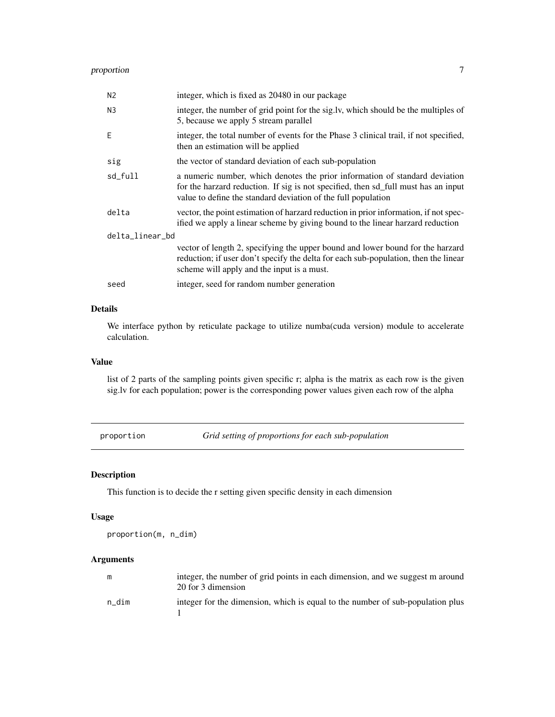### <span id="page-6-0"></span>proportion 7

| integer, which is fixed as 20480 in our package                                                                                                                                                                                    |
|------------------------------------------------------------------------------------------------------------------------------------------------------------------------------------------------------------------------------------|
| integer, the number of grid point for the sig.ly, which should be the multiples of<br>5, because we apply 5 stream parallel                                                                                                        |
| integer, the total number of events for the Phase 3 clinical trail, if not specified,<br>then an estimation will be applied                                                                                                        |
| the vector of standard deviation of each sub-population                                                                                                                                                                            |
| a numeric number, which denotes the prior information of standard deviation<br>for the harzard reduction. If sig is not specified, then sd_full must has an input<br>value to define the standard deviation of the full population |
| vector, the point estimation of harzard reduction in prior information, if not spec-<br>ified we apply a linear scheme by giving bound to the linear harzard reduction                                                             |
| delta_linear_bd                                                                                                                                                                                                                    |
| vector of length 2, specifying the upper bound and lower bound for the harzard<br>reduction; if user don't specify the delta for each sub-population, then the linear<br>scheme will apply and the input is a must.                |
| integer, seed for random number generation                                                                                                                                                                                         |
|                                                                                                                                                                                                                                    |

#### Details

We interface python by reticulate package to utilize numba(cuda version) module to accelerate calculation.

#### Value

list of 2 parts of the sampling points given specific r; alpha is the matrix as each row is the given sig.lv for each population; power is the corresponding power values given each row of the alpha

proportion *Grid setting of proportions for each sub-population*

#### Description

This function is to decide the r setting given specific density in each dimension

#### Usage

proportion(m, n\_dim)

#### Arguments

| m     | integer, the number of grid points in each dimension, and we suggest m around<br>20 for 3 dimension |
|-------|-----------------------------------------------------------------------------------------------------|
| n dim | integer for the dimension, which is equal to the number of sub-population plus                      |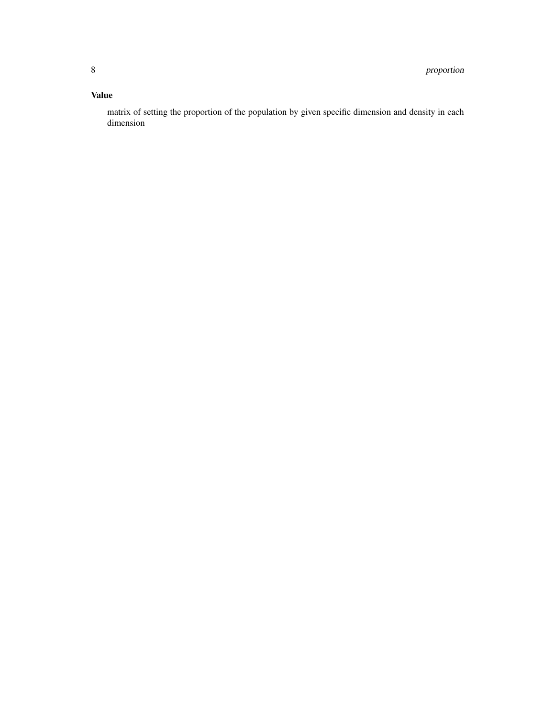#### Value

matrix of setting the proportion of the population by given specific dimension and density in each dimension